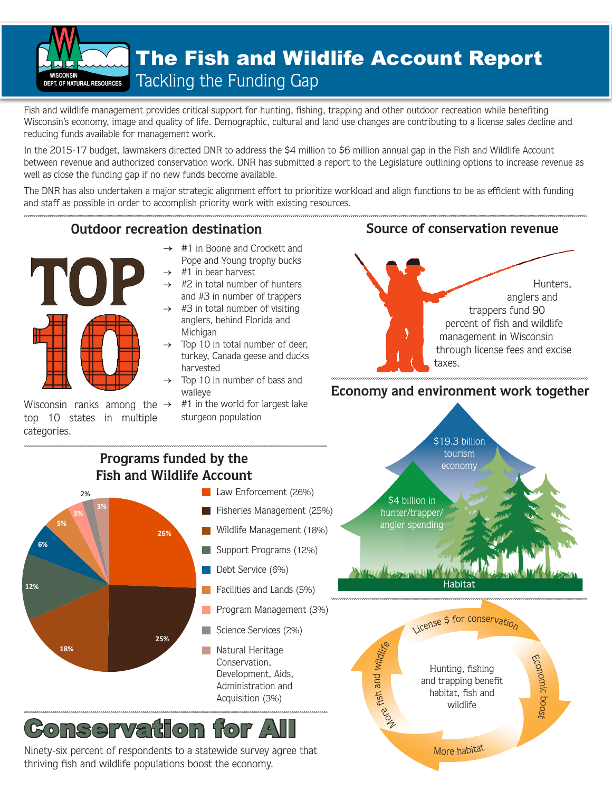

Fish and wildlife management provides critical support for hunting, fishing, trapping and other outdoor recreation while benefiting Wisconsin's economy, image and quality of life. Demographic, cultural and land use changes are contributing to a license sales decline and reducing funds available for management work.

In the 2015-17 budget, lawmakers directed DNR to address the \$4 million to \$6 million annual gap in the Fish and Wildlife Account between revenue and authorized conservation work. DNR has submitted a report to the Legislature outlining options to increase revenue as well as close the funding gap if no new funds become available.

The DNR has also undertaken a major strategic alignment effort to prioritize workload and align functions to be as efficient with funding and staff as possible in order to accomplish priority work with existing resources.

# **Outdoor recreation destination Source of conservation revenue**

T

- $\rightarrow$  #1 in Boone and Crockett and Pope and Young trophy bucks
	- Ȗ #1 in bear harvest
- $\rightarrow$  #2 in total number of hunters and #3 in number of trappers
- Ȗ #3 in total number of visiting anglers, behind Florida and **Michigan**
- Ȗ Top 10 in total number of deer, turkey, Canada geese and ducks harvested
- Ȗ Top 10 in number of bass and walleye



## **Economy and environment work together**



Ninety-six percent of respondents to a statewide survey agree that thriving fish and wildlife populations boost the economy.